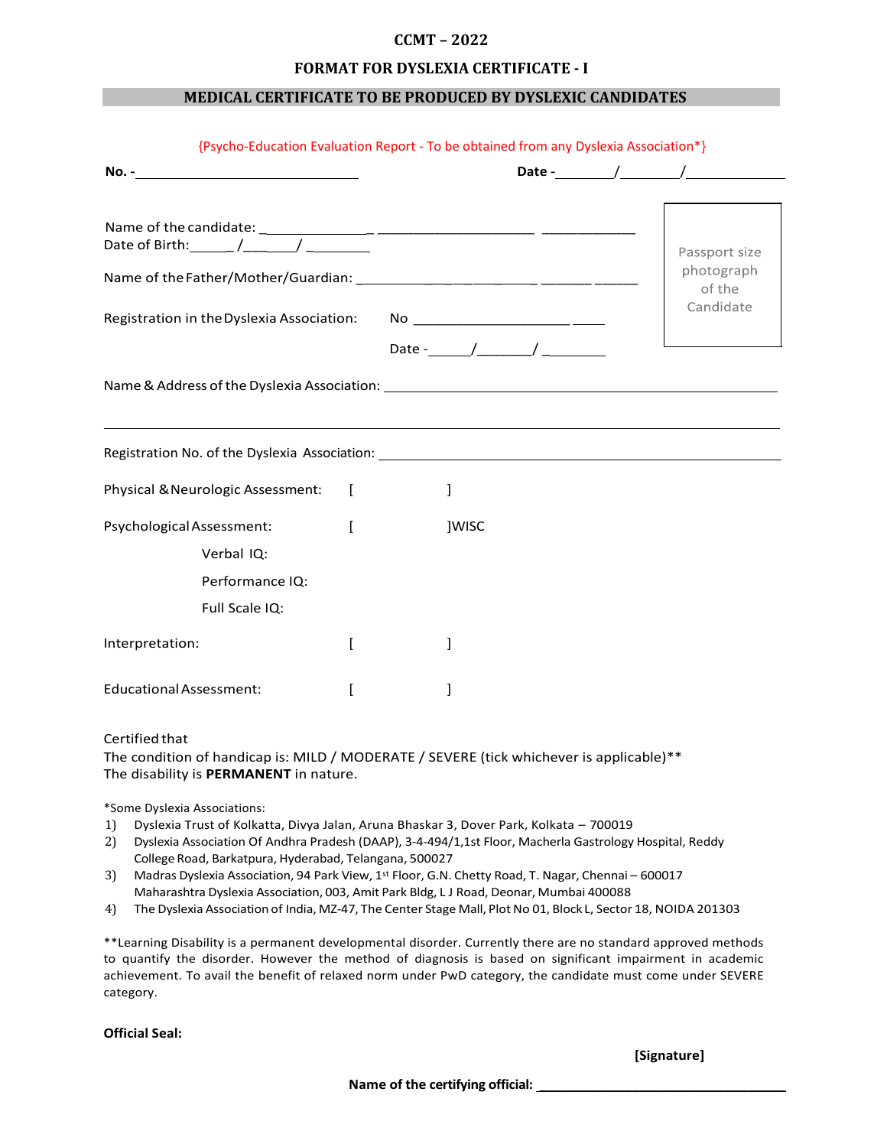# **CCMT – 2022**

### **FORMAT FOR DYSLEXIA CERTIFICATE - I**

### **MEDICAL CERTIFICATE TO BE PRODUCED BY DYSLEXIC CANDIDATES**

|                                                                                                                                                               |       |  | Date $\qquad$ / $\qquad$ / |
|---------------------------------------------------------------------------------------------------------------------------------------------------------------|-------|--|----------------------------|
|                                                                                                                                                               |       |  | Passport size              |
|                                                                                                                                                               |       |  | photograph<br>of the       |
|                                                                                                                                                               |       |  | Candidate                  |
|                                                                                                                                                               |       |  |                            |
|                                                                                                                                                               |       |  |                            |
|                                                                                                                                                               |       |  |                            |
|                                                                                                                                                               | 1     |  |                            |
|                                                                                                                                                               | ]WISC |  |                            |
| Verbal IQ:                                                                                                                                                    |       |  |                            |
| Performance IQ:                                                                                                                                               |       |  |                            |
| Registration No. of the Dyslexia Association: New York 2014 19:30 19:30<br>Physical & Neurologic Assessment: [<br>Psychological Assessment:<br>Full Scale IQ: |       |  |                            |
| Interpretation:                                                                                                                                               |       |  |                            |

#### Certified that

The condition of handicap is: MILD / MODERATE / SEVERE (tick whichever is applicable)\*\* The disability is **PERMANENT** in nature.

\*Some Dyslexia Associations:

- 1) Dyslexia Trust of Kolkatta, Divya Jalan, Aruna Bhaskar 3, Dover Park, Kolkata 700019
- 2) Dyslexia Association Of Andhra Pradesh (DAAP), 3-4-494/1,1st Floor, Macherla Gastrology Hospital, Reddy College Road, Barkatpura, Hyderabad, Telangana, 500027
- 3) Madras Dyslexia Association, 94 Park View, 1<sup>st</sup> Floor, G.N. Chetty Road, T. Nagar, Chennai 600017 Maharashtra Dyslexia Association, 003, Amit Park Bldg, L J Road, Deonar, Mumbai 400088
- 4) The Dyslexia Association of India, MZ-47, The Center Stage Mall, Plot No 01, Block L, Sector 18, NOIDA 201303

\*\*Learning Disability is a permanent developmental disorder. Currently there are no standard approved methods to quantify the disorder. However the method of diagnosis is based on significant impairment in academic achievement. To avail the benefit of relaxed norm under PwD category, the candidate must come under SEVERE category.

**Official Seal:**

**[Signature]**